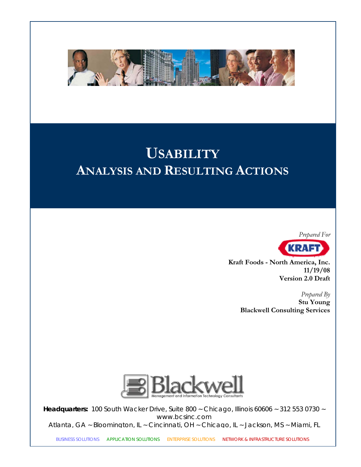

# **USABILITY ANALYSIS AND RESULTING ACTIONS**



**Kraft Foods - North America, Inc. 11/19/08 Version 2.0 Draft** 

> *Prepared By*  **Stu Young Blackwell Consulting Services**



**Headquarters:** 100 South Wacker Drive, Suite 800 ~ Chicago, Illinois 60606 ~ 312 553 0730 ~ www.bcsinc.com Atlanta, GA ~ Bloomington, IL ~ Cincinnati, OH ~ Chicago, IL ~ Jackson, MS ~ Miami*,* FL

BUSINESS SOLUTIONS ~ APPLICATION SOLUTIONS ~ ENTERPRISE SOLUTIONS ~ NETWORK & INFRASTRUCTURE SOLUTIONS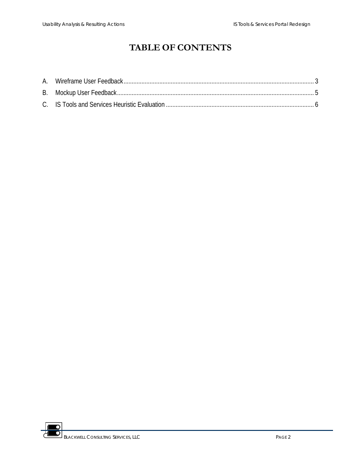## **TABLE OF CONTENTS**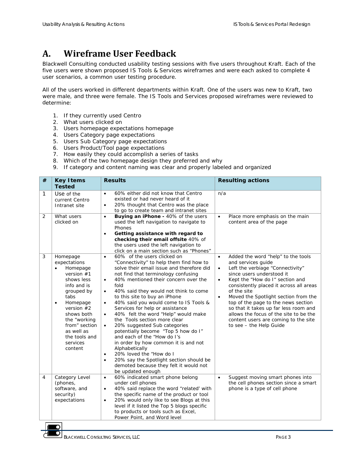#### <span id="page-2-0"></span>**A. Wireframe User Feedback**

Blackwell Consulting conducted usability testing sessions with five users throughout Kraft. Each of the five users were shown proposed IS Tools & Services wireframes and were each asked to complete 4 user scenarios, a common user testing procedure.

were male, and three were female. The IS Tools and Services proposed wireframes were reviewed to determine: All of the users worked in different departments within Kraft. One of the users was new to Kraft, two

- 1. If they currently used Centro
- 2. What users clicked on
- 3. Users homepage expectations homepage
- 4. Users Category page expectations
- 5. Users Sub Category page expectations
- 6. Users Product/Tool page expectations
- 7. How easily they could accomplish a series of tasks
- 8. Which of the two homepage design they preferred and why
- 9. If category and content naming was clear and properly labeled and organized

| # | <b>Results</b><br><b>Resulting actions</b><br><b>Key I tems</b><br><b>Tested</b>                                                                                                                                                                                   |                                                                                                                                                                                                                                                                                                                                                                                                                                                                                                                                                                                                                                                                                                                                                                                                                                              |                                                                                                                                                                                                                                                                                                                                                                                                                                                                                                                 |
|---|--------------------------------------------------------------------------------------------------------------------------------------------------------------------------------------------------------------------------------------------------------------------|----------------------------------------------------------------------------------------------------------------------------------------------------------------------------------------------------------------------------------------------------------------------------------------------------------------------------------------------------------------------------------------------------------------------------------------------------------------------------------------------------------------------------------------------------------------------------------------------------------------------------------------------------------------------------------------------------------------------------------------------------------------------------------------------------------------------------------------------|-----------------------------------------------------------------------------------------------------------------------------------------------------------------------------------------------------------------------------------------------------------------------------------------------------------------------------------------------------------------------------------------------------------------------------------------------------------------------------------------------------------------|
| 1 | Use of the<br>current Centro<br>Intranet site                                                                                                                                                                                                                      | 60% either did not know that Centro<br>$\bullet$<br>existed or had never heard of it<br>20% thought that Centro was the place<br>$\bullet$<br>to go to create team and intranet sites                                                                                                                                                                                                                                                                                                                                                                                                                                                                                                                                                                                                                                                        | n/a                                                                                                                                                                                                                                                                                                                                                                                                                                                                                                             |
| 2 | What users<br>clicked on                                                                                                                                                                                                                                           | Buying an iPhone - 40% of the users<br>$\bullet$<br>used the left navigation to navigate to<br>Phones<br>Getting assistance with regard to<br>$\bullet$<br>checking their email offsite 40% of<br>the users used the left navigation to<br>click on a main section such as "Phones"                                                                                                                                                                                                                                                                                                                                                                                                                                                                                                                                                          | Place more emphasis on the main<br>$\bullet$<br>content area of the page                                                                                                                                                                                                                                                                                                                                                                                                                                        |
| 3 | Homepage<br>expectations<br>Homepage<br>$\bullet$<br>version $#1$<br>shows less<br>info and is<br>grouped by<br>tabs<br>Homepage<br>$\bullet$<br>version $#2$<br>shows both<br>the "working<br>from" section<br>as well as<br>the tools and<br>services<br>content | 60% of the users clicked on<br>$\bullet$<br>"Connectivity" to help them find how to<br>solve their email issue and therefore did<br>not find that terminology confusing<br>40% mentioned their concern over the<br>$\bullet$<br>fold<br>40% said they would not think to come<br>$\bullet$<br>to this site to buy an iPhone<br>40% said you would come to IS Tools &<br>$\bullet$<br>Services for help or assistance<br>40% felt the word "Help" would make<br>$\bullet$<br>the Tools section more clear<br>20% suggested Sub categories<br>$\bullet$<br>potentially become "Top 5 how do I"<br>and each of the "How do I's<br>in order by how common it is and not<br>Alphabetically<br>20% loved the "How do I<br>٠<br>20% say the Spotlight section should be<br>$\bullet$<br>demoted because they felt it would not<br>be updated enough | Added the word "help" to the tools<br>$\bullet$<br>and services guide<br>Left the verbiage "Connectivity"<br>$\bullet$<br>since users understood it<br>Kept the "How do I" section and<br>$\bullet$<br>consistently placed it across all areas<br>of the site<br>Moved the Spotlight section from the<br>$\bullet$<br>top of the page to the news section<br>so that it takes up far less room and<br>allows the focus of the site to be the<br>content users are coming to the site<br>to see - the Help Guide |
| 4 | Category Level<br>(phones,<br>software, and<br>security)<br>expectations                                                                                                                                                                                           | 60% indicated smart phone belong<br>$\bullet$<br>under cell phones<br>40% said replace the word "related' with<br>$\bullet$<br>the specific name of the product or tool<br>20% would only like to see Blogs at this<br>$\bullet$<br>level if it listed the Top 5 blogs specific<br>to products or tools such as Excel,<br>Power Point, and Word level                                                                                                                                                                                                                                                                                                                                                                                                                                                                                        | Suggest moving smart phones into<br>$\bullet$<br>the cell phones section since a smart<br>phone is a type of cell phone                                                                                                                                                                                                                                                                                                                                                                                         |

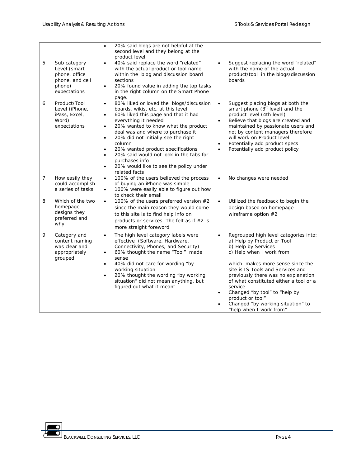|                |                                                                                            | 20% said blogs are not helpful at the<br>$\bullet$<br>second level and they belong at the<br>product level                                                                                                                                                                                                                                                                                                                                                                                                                       |                                                                                                                                                                                                                                                                                                                                                                                                                                            |
|----------------|--------------------------------------------------------------------------------------------|----------------------------------------------------------------------------------------------------------------------------------------------------------------------------------------------------------------------------------------------------------------------------------------------------------------------------------------------------------------------------------------------------------------------------------------------------------------------------------------------------------------------------------|--------------------------------------------------------------------------------------------------------------------------------------------------------------------------------------------------------------------------------------------------------------------------------------------------------------------------------------------------------------------------------------------------------------------------------------------|
| 5              | Sub category<br>Level (smart<br>phone, office<br>phone, and cell<br>phone)<br>expectations | 40% said replace the word "related"<br>$\bullet$<br>with the actual product or tool name<br>within the blog and discussion board<br>sections<br>20% found value in adding the top tasks<br>$\bullet$<br>in the right column on the Smart Phone<br>page.                                                                                                                                                                                                                                                                          | Suggest replacing the word "related"<br>$\bullet$<br>with the name of the actual<br>product/tool in the blogs/discussion<br>boards                                                                                                                                                                                                                                                                                                         |
| 6              | Product/Tool<br>Level (iPhone,<br>iPass, Excel,<br>Word)<br>expectations                   | 80% liked or loved the blogs/discussion<br>$\bullet$<br>boards, wikis, etc. at this level<br>60% liked this page and that it had<br>$\bullet$<br>everything it needed<br>20% wanted to know what the product<br>$\bullet$<br>deal was and where to purchase it<br>20% did not initially see the right<br>$\bullet$<br>column<br>20% wanted product specifications<br>$\bullet$<br>20% said would not look in the tabs for<br>$\bullet$<br>purchases info<br>20% would like to see the policy under<br>$\bullet$<br>related facts | Suggest placing blogs at both the<br>$\bullet$<br>smart phone (3rd level) and the<br>product level (4th level)<br>Believe that blogs are created and<br>$\bullet$<br>maintained by passionate users and<br>not by content managers therefore<br>will work on Product level<br>Potentially add product specs<br>$\bullet$<br>Potentially add product policy<br>$\bullet$                                                                    |
| $\overline{7}$ | How easily they<br>could accomplish<br>a series of tasks                                   | 100% of the users believed the process<br>$\bullet$<br>of buying an iPhone was simple<br>100% were easily able to figure out how<br>$\bullet$<br>to check their email                                                                                                                                                                                                                                                                                                                                                            | No changes were needed<br>$\bullet$                                                                                                                                                                                                                                                                                                                                                                                                        |
| 8              | Which of the two<br>homepage<br>designs they<br>preferred and<br>why                       | 100% of the users preferred version #2<br>$\bullet$<br>since the main reason they would come<br>to this site is to find help info on<br>products or services. The felt as if #2 is<br>more straight foreword                                                                                                                                                                                                                                                                                                                     | Utilized the feedback to begin the<br>$\bullet$<br>design based on homepage<br>wireframe option $#2$                                                                                                                                                                                                                                                                                                                                       |
| 9              | Category and<br>content naming<br>was clear and<br>appropriately<br>grouped                | The high level category labels were<br>$\bullet$<br>effective (Software, Hardware,<br>Connectivity, Phones, and Security)<br>60% thought the name "Tool" made<br>$\bullet$<br>sense<br>40% did not care for wording "by<br>$\bullet$<br>working situation<br>20% thought the wording "by working<br>$\bullet$<br>situation" did not mean anything, but<br>figured out what it meant                                                                                                                                              | Regrouped high level categories into:<br>$\bullet$<br>a) Help by Product or Tool<br>b) Help by Services<br>c) Help when I work from<br>which makes more sense since the<br>site is IS Tools and Services and<br>previously there was no explanation<br>of what constituted either a tool or a<br>service<br>Changed "by tool" to "help by<br>$\bullet$<br>product or tool"<br>Changed "by working situation" to<br>"help when I work from" |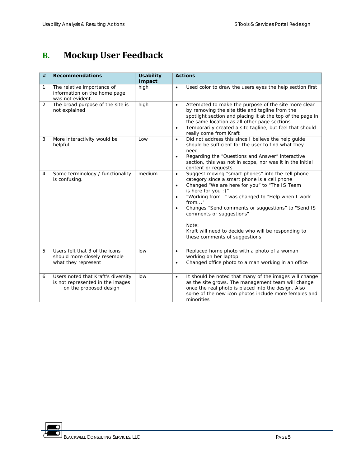# <span id="page-4-0"></span>**B. Mockup User Feedback**

| # | <b>Recommendations</b>                                                                           | <b>Usability</b><br><b>I</b> mpact | <b>Actions</b>                                                                                                                                                                                                                                                                                                                                                                                                                                                               |
|---|--------------------------------------------------------------------------------------------------|------------------------------------|------------------------------------------------------------------------------------------------------------------------------------------------------------------------------------------------------------------------------------------------------------------------------------------------------------------------------------------------------------------------------------------------------------------------------------------------------------------------------|
| 1 | The relative importance of<br>information on the home page<br>was not evident.                   | high                               | Used color to draw the users eyes the help section first<br>$\bullet$                                                                                                                                                                                                                                                                                                                                                                                                        |
| 2 | The broad purpose of the site is<br>not explained                                                | high                               | Attempted to make the purpose of the site more clear<br>$\bullet$<br>by removing the site title and tagline from the<br>spotlight section and placing it at the top of the page in<br>the same location as all other page sections<br>Temporarily created a site tagline, but feel that should<br>$\bullet$<br>really come from Kraft                                                                                                                                        |
| 3 | More interactivity would be<br>helpful                                                           | Low                                | Did not address this since I believe the help guide<br>$\bullet$<br>should be sufficient for the user to find what they<br>need<br>Regarding the "Questions and Answer" interactive<br>$\bullet$<br>section, this was not in scope, nor was it in the initial<br>content or requests                                                                                                                                                                                         |
| 4 | Some terminology / functionality<br>is confusing.                                                | medium                             | Suggest moving "smart phones" into the cell phone<br>$\bullet$<br>category since a smart phone is a cell phone<br>Changed "We are here for you" to "The IS Team<br>$\bullet$<br>is here for you :)"<br>"Working from" was changed to "Help when I work<br>$\bullet$<br>from"<br>Changes "Send comments or suggestions" to "Send IS<br>$\bullet$<br>comments or suggestions"<br>Note:<br>Kraft will need to decide who will be responding to<br>these comments of suggestions |
| 5 | Users felt that 3 of the icons                                                                   | low                                | Replaced home photo with a photo of a woman<br>$\bullet$                                                                                                                                                                                                                                                                                                                                                                                                                     |
|   | should more closely resemble<br>what they represent                                              |                                    | working on her laptop<br>Changed office photo to a man working in an office<br>$\bullet$                                                                                                                                                                                                                                                                                                                                                                                     |
| 6 | Users noted that Kraft's diversity<br>is not represented in the images<br>on the proposed design | low                                | It should be noted that many of the images will change<br>$\bullet$<br>as the site grows. The management team will change<br>once the real photo is placed into the design. Also<br>some of the new icon photos include more females and<br>minorities                                                                                                                                                                                                                       |